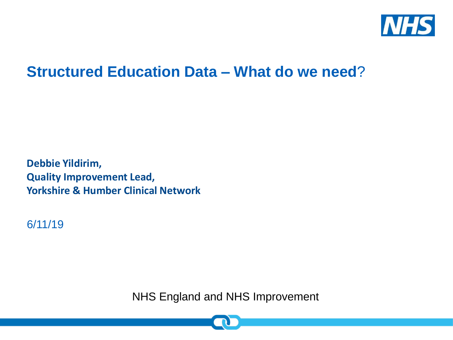

#### **Structured Education Data – What do we need**?

**Debbie Yildirim, Quality Improvement Lead, Yorkshire & Humber Clinical Network**

6/11/19

NHS England and NHS Improvement

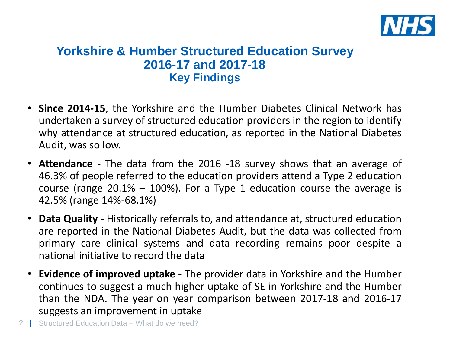

#### **Yorkshire & Humber Structured Education Survey 2016-17 and 2017-18 Key Findings**

- **Since 2014-15**, the Yorkshire and the Humber Diabetes Clinical Network has undertaken a survey of structured education providers in the region to identify why attendance at structured education, as reported in the National Diabetes Audit, was so low.
- **Attendance -** The data from the 2016 -18 survey shows that an average of 46.3% of people referred to the education providers attend a Type 2 education course (range  $20.1\%$  – 100%). For a Type 1 education course the average is 42.5% (range 14%-68.1%)
- **Data Quality -** Historically referrals to, and attendance at, structured education are reported in the National Diabetes Audit, but the data was collected from primary care clinical systems and data recording remains poor despite a national initiative to record the data
- **Evidence of improved uptake -** The provider data in Yorkshire and the Humber continues to suggest a much higher uptake of SE in Yorkshire and the Humber than the NDA. The year on year comparison between 2017-18 and 2016-17 suggests an improvement in uptake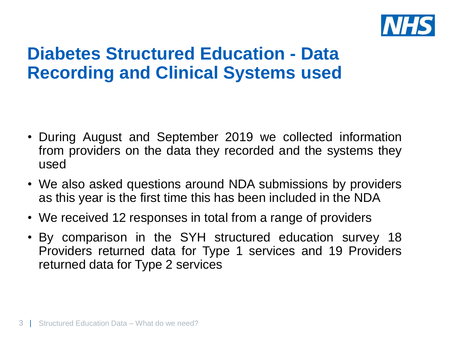

## **Diabetes Structured Education - Data Recording and Clinical Systems used**

- During August and September 2019 we collected information from providers on the data they recorded and the systems they used
- We also asked questions around NDA submissions by providers as this year is the first time this has been included in the NDA
- We received 12 responses in total from a range of providers
- By comparison in the SYH structured education survey 18 Providers returned data for Type 1 services and 19 Providers returned data for Type 2 services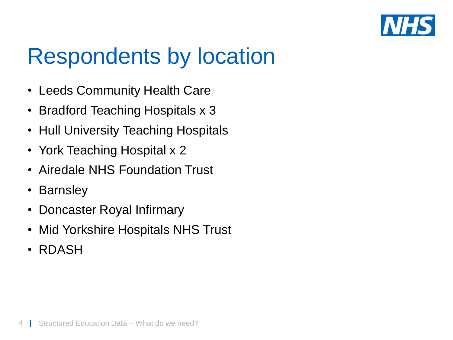

## Respondents by location

- Leeds Community Health Care
- Bradford Teaching Hospitals x 3
- Hull University Teaching Hospitals
- York Teaching Hospital x 2
- Airedale NHS Foundation Trust
- Barnsley
- Doncaster Royal Infirmary
- Mid Yorkshire Hospitals NHS Trust
- RDASH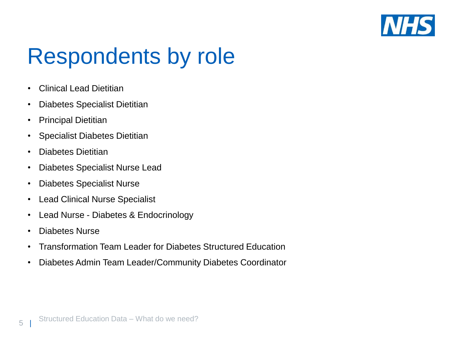

# Respondents by role

- Clinical Lead Dietitian
- Diabetes Specialist Dietitian
- Principal Dietitian
- Specialist Diabetes Dietitian
- Diabetes Dietitian
- Diabetes Specialist Nurse Lead
- Diabetes Specialist Nurse
- Lead Clinical Nurse Specialist
- Lead Nurse Diabetes & Endocrinology
- Diabetes Nurse

 $5<sub>5</sub>$ 

- Transformation Team Leader for Diabetes Structured Education
- Diabetes Admin Team Leader/Community Diabetes Coordinator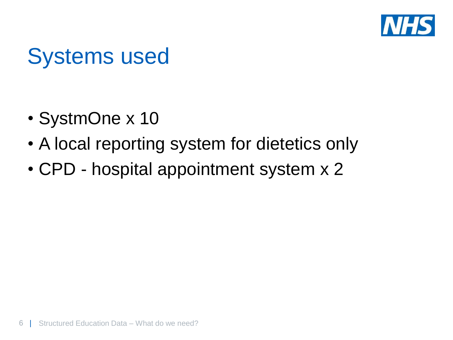

## Systems used

- SystmOne x 10
- A local reporting system for dietetics only
- CPD hospital appointment system x 2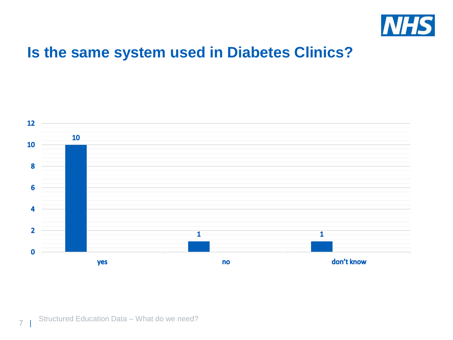

#### **Is the same system used in Diabetes Clinics?**



 $\overline{7}$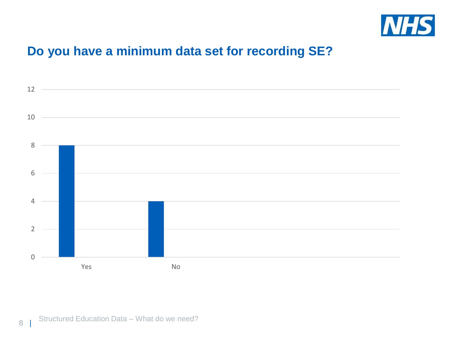

#### **Do you have a minimum data set for recording SE?**



|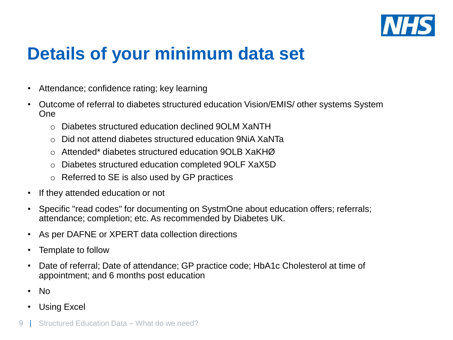

## **Details of your minimum data set**

- Attendance; confidence rating; key learning
- Outcome of referral to diabetes structured education Vision/EMIS/ other systems System One
	- o Diabetes structured education declined 9OLM XaNTH
	- o Did not attend diabetes structured education 9NiA XaNTa
	- o Attended\* diabetes structured education 9OLB XaKHØ
	- o Diabetes structured education completed 9OLF XaX5D
	- o Referred to SE is also used by GP practices
- If they attended education or not
- Specific "read codes" for documenting on SystmOne about education offers; referrals; attendance; completion; etc. As recommended by Diabetes UK.
- As per DAFNE or XPERT data collection directions
- Template to follow
- Date of referral; Date of attendance; GP practice code; HbA1c Cholesterol at time of appointment; and 6 months post education
- No
- Using Excel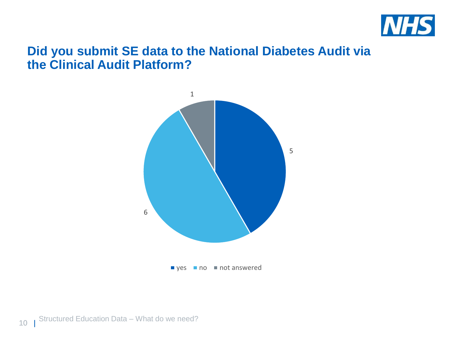

#### **Did you submit SE data to the National Diabetes Audit via the Clinical Audit Platform?**

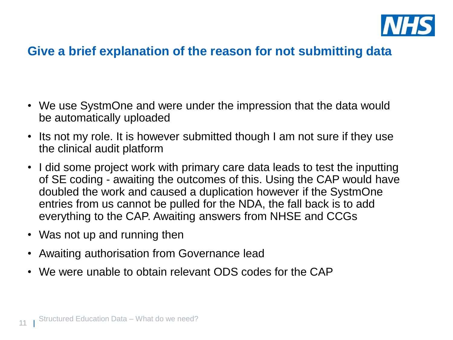

#### **Give a brief explanation of the reason for not submitting data**

- We use SystmOne and were under the impression that the data would be automatically uploaded
- Its not my role. It is however submitted though I am not sure if they use the clinical audit platform
- I did some project work with primary care data leads to test the inputting of SE coding - awaiting the outcomes of this. Using the CAP would have doubled the work and caused a duplication however if the SystmOne entries from us cannot be pulled for the NDA, the fall back is to add everything to the CAP. Awaiting answers from NHSE and CCGs
- Was not up and running then
- Awaiting authorisation from Governance lead
- We were unable to obtain relevant ODS codes for the CAP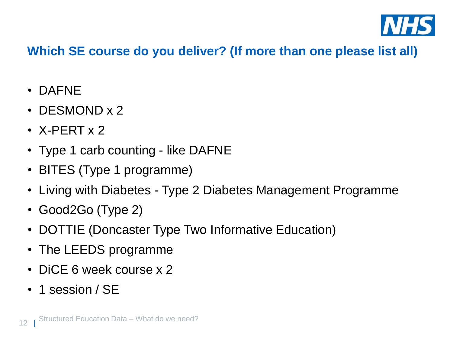

#### **Which SE course do you deliver? (If more than one please list all)**

- DAFNE
- DESMOND x 2
- X-PERT x 2
- Type 1 carb counting like DAFNE
- BITES (Type 1 programme)
- Living with Diabetes Type 2 Diabetes Management Programme
- Good2Go (Type 2)
- DOTTIE (Doncaster Type Two Informative Education)
- The LEEDS programme
- DiCE 6 week course x 2
- 1 session / SE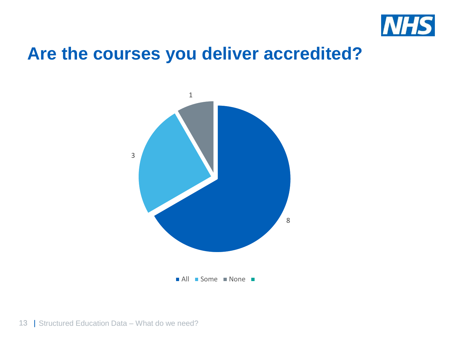

### **Are the courses you deliver accredited?**

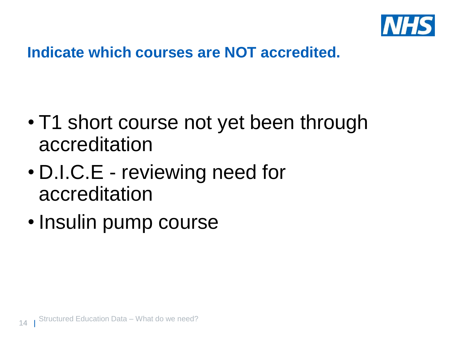

#### **Indicate which courses are NOT accredited.**

- T1 short course not yet been through accreditation
- D.I.C.E reviewing need for accreditation
- Insulin pump course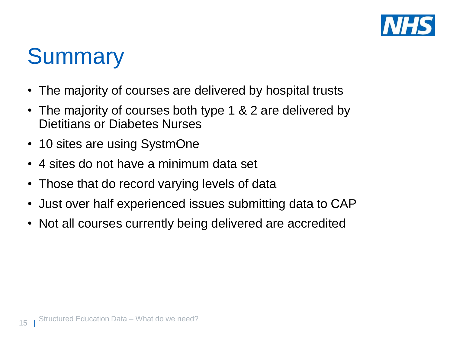

# **Summary**

- The majority of courses are delivered by hospital trusts
- The majority of courses both type 1 & 2 are delivered by Dietitians or Diabetes Nurses
- 10 sites are using SystmOne
- 4 sites do not have a minimum data set
- Those that do record varying levels of data
- Just over half experienced issues submitting data to CAP
- Not all courses currently being delivered are accredited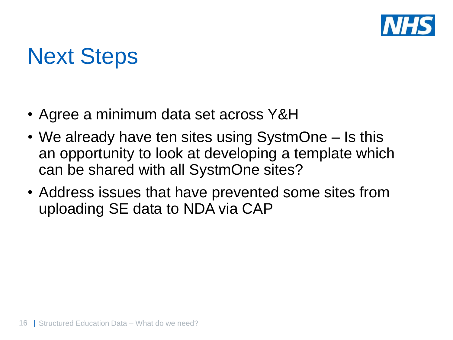

# Next Steps

- Agree a minimum data set across Y&H
- We already have ten sites using SystmOne Is this an opportunity to look at developing a template which can be shared with all SystmOne sites?
- Address issues that have prevented some sites from uploading SE data to NDA via CAP